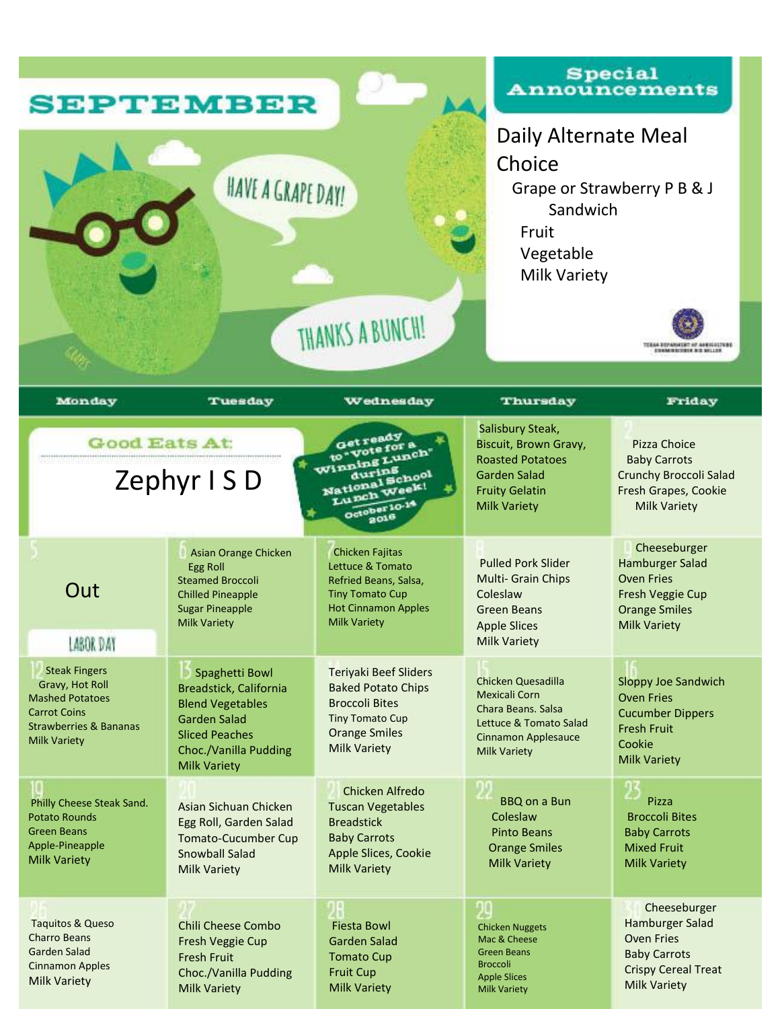| <b>SEPTEMBER</b><br>HAVE A GRAPE DAY!<br>THANKS A BUNCH!                                                                                             |                                                                                                                                                                     |                                                                                                                                                      | <b>Special</b><br><b>Announcements</b><br>Daily Alternate Meal<br>Choice<br>Grape or Strawberry P B & J<br>Sandwich<br>Fruit<br>Vegetable<br><b>Milk Variety</b><br>TEXAS REPAINSTMT OF ASSISTENCE<br><b>CONSUMERS OF A REPORT OF A REAL PROPERTY</b> |                                                                                                                                         |
|------------------------------------------------------------------------------------------------------------------------------------------------------|---------------------------------------------------------------------------------------------------------------------------------------------------------------------|------------------------------------------------------------------------------------------------------------------------------------------------------|-------------------------------------------------------------------------------------------------------------------------------------------------------------------------------------------------------------------------------------------------------|-----------------------------------------------------------------------------------------------------------------------------------------|
| Monday                                                                                                                                               | Tuesday                                                                                                                                                             | Wednesday                                                                                                                                            | Thursday                                                                                                                                                                                                                                              | Friday                                                                                                                                  |
| <b>Good Eats At:</b><br>Zephyr ISD                                                                                                                   |                                                                                                                                                                     | Getready<br>to-vote for a<br>Winning Lunch'<br>during<br>National School<br>Lunch Week!<br>October 10-1<br>2016                                      | Salisbury Steak,<br>Biscuit, Brown Gravy,<br><b>Roasted Potatoes</b><br><b>Garden Salad</b><br><b>Fruity Gelatin</b><br><b>Milk Variety</b>                                                                                                           | Pizza Choice<br><b>Baby Carrots</b><br>Crunchy Broccoli Salad<br>Fresh Grapes, Cookie<br><b>Milk Variety</b>                            |
| Out<br>LABOR DAY                                                                                                                                     | Asian Orange Chicken<br><b>Egg Roll</b><br><b>Steamed Broccoli</b><br><b>Chilled Pineapple</b><br><b>Sugar Pineapple</b><br><b>Milk Variety</b>                     | <b>Chicken Fajitas</b><br>Lettuce & Tomato<br>Refried Beans, Salsa,<br><b>Tiny Tomato Cup</b><br><b>Hot Cinnamon Apples</b><br>Milk Variety          | <b>Pulled Pork Slider</b><br><b>Multi- Grain Chips</b><br>Coleslaw<br><b>Green Beans</b><br><b>Apple Slices</b><br><b>Milk Variety</b>                                                                                                                | Cheeseburger<br><b>Hamburger Salad</b><br><b>Oven Fries</b><br>Fresh Veggie Cup<br><b>Orange Smiles</b><br>Milk Variety                 |
| <b>Steak Fingers</b><br>Gravy, Hot Roll<br><b>Mashed Potatoes</b><br><b>Carrot Coins</b><br><b>Strawberries &amp; Bananas</b><br><b>Milk Variety</b> | Spaghetti Bowl<br>Breadstick, California<br><b>Blend Vegetables</b><br><b>Garden Salad</b><br><b>Sliced Peaches</b><br>Choc./Vanilla Pudding<br><b>Milk Variety</b> | <b>Teriyaki Beef Sliders</b><br><b>Baked Potato Chips</b><br><b>Broccoli Bites</b><br>Tiny Tomato Cup<br><b>Orange Smiles</b><br><b>Milk Variety</b> | <b>Chicken Quesadilla</b><br><b>Mexicali Corn</b><br>Chara Beans. Salsa<br>Lettuce & Tomato Salad<br><b>Cinnamon Applesauce</b><br><b>Milk Variety</b>                                                                                                | <b>Sloppy Joe Sandwich</b><br><b>Oven Fries</b><br><b>Cucumber Dippers</b><br><b>Fresh Fruit</b><br>Cookie<br><b>Milk Variety</b>       |
| Philly Cheese Steak Sand.<br><b>Potato Rounds</b><br><b>Green Beans</b><br>Apple-Pineapple<br><b>Milk Variety</b>                                    | Asian Sichuan Chicken<br>Egg Roll, Garden Salad<br><b>Tomato-Cucumber Cup</b><br><b>Snowball Salad</b><br><b>Milk Variety</b>                                       | Chicken Alfredo<br><b>Tuscan Vegetables</b><br><b>Breadstick</b><br><b>Baby Carrots</b><br>Apple Slices, Cookie<br><b>Milk Variety</b>               | <b>BBQ on a Bun</b><br>Coleslaw<br><b>Pinto Beans</b><br><b>Orange Smiles</b><br><b>Milk Variety</b>                                                                                                                                                  | Pizza<br><b>Broccoli Bites</b><br><b>Baby Carrots</b><br><b>Mixed Fruit</b><br><b>Milk Variety</b>                                      |
| Taquitos & Queso<br><b>Charro Beans</b><br><b>Garden Salad</b><br><b>Cinnamon Apples</b><br><b>Milk Variety</b>                                      | <b>Chili Cheese Combo</b><br>Fresh Veggie Cup<br><b>Fresh Fruit</b><br>Choc./Vanilla Pudding<br><b>Milk Variety</b>                                                 | <b>Fiesta Bowl</b><br><b>Garden Salad</b><br><b>Tomato Cup</b><br><b>Fruit Cup</b><br><b>Milk Variety</b>                                            | <b>Chicken Nuggets</b><br>Mac & Cheese<br><b>Green Beans</b><br><b>Broccoli</b><br><b>Apple Slices</b><br><b>Milk Variety</b>                                                                                                                         | Cheeseburger<br><b>Hamburger Salad</b><br><b>Oven Fries</b><br><b>Baby Carrots</b><br><b>Crispy Cereal Treat</b><br><b>Milk Variety</b> |